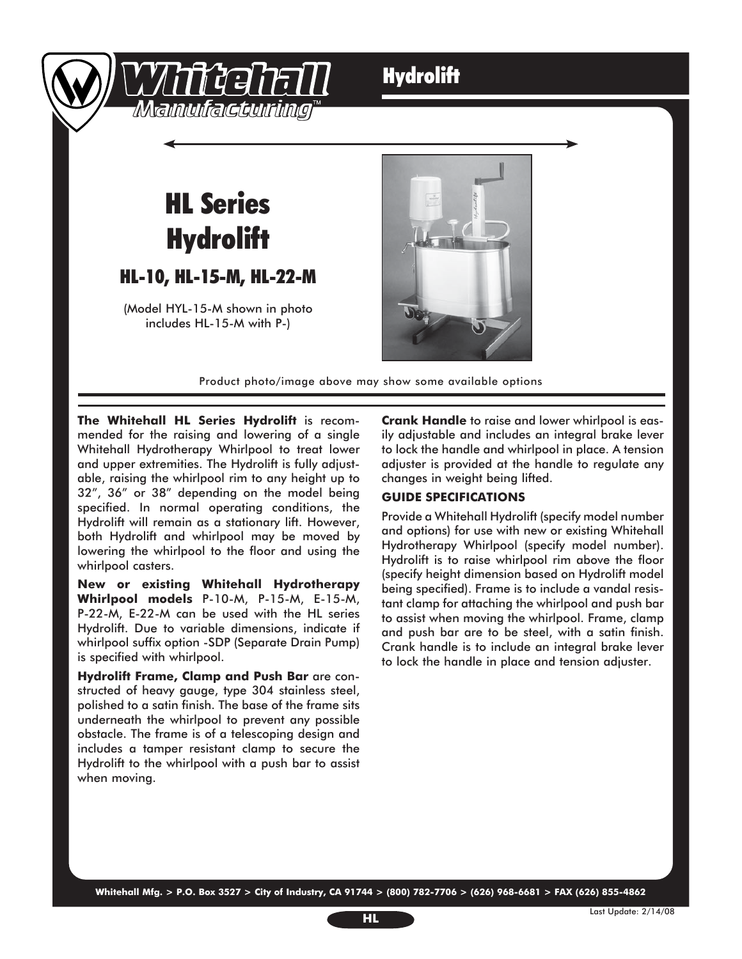

### **Hydrolift**

## HL Series **Hydrolift**

#### HL-10, HL-15-M, HL-22-M

(Model HYL-15-M shown in photo includes HL-15-M with P-)



Product photo/image above may show some available options

**The Whitehall HL Series Hydrolift** is recommended for the raising and lowering of a single Whitehall Hydrotherapy Whirlpool to treat lower and upper extremities. The Hydrolift is fully adjustable, raising the whirlpool rim to any height up to 32", 36" or 38" depending on the model being specified. In normal operating conditions, the Hydrolift will remain as a stationary lift. However, both Hydrolift and whirlpool may be moved by lowering the whirlpool to the floor and using the whirlpool casters.

**New or existing Whitehall Hydrotherapy Whirlpool models** P-10-M, P-15-M, E-15-M, P-22-M, E-22-M can be used with the HL series Hydrolift. Due to variable dimensions, indicate if whirlpool suffix option -SDP (Separate Drain Pump) is specified with whirlpool.

**Hydrolift Frame, Clamp and Push Bar** are constructed of heavy gauge, type 304 stainless steel, polished to a satin finish. The base of the frame sits underneath the whirlpool to prevent any possible obstacle. The frame is of a telescoping design and includes a tamper resistant clamp to secure the Hydrolift to the whirlpool with a push bar to assist when moving.

**Crank Handle** to raise and lower whirlpool is easily adjustable and includes an integral brake lever to lock the handle and whirlpool in place. A tension adjuster is provided at the handle to regulate any changes in weight being lifted.

#### **GUIDE SPECIFICATIONS**

Provide a Whitehall Hydrolift (specify model number and options) for use with new or existing Whitehall Hydrotherapy Whirlpool (specify model number). Hydrolift is to raise whirlpool rim above the floor (specify height dimension based on Hydrolift model being specified). Frame is to include a vandal resistant clamp for attaching the whirlpool and push bar to assist when moving the whirlpool. Frame, clamp and push bar are to be steel, with a satin finish. Crank handle is to include an integral brake lever to lock the handle in place and tension adjuster.

**Whitehall Mfg. > P.O. Box 3527 > City of Industry, CA 91744 > (800) 782-7706 > (626) 968-6681 > FAX (626) 855-4862**